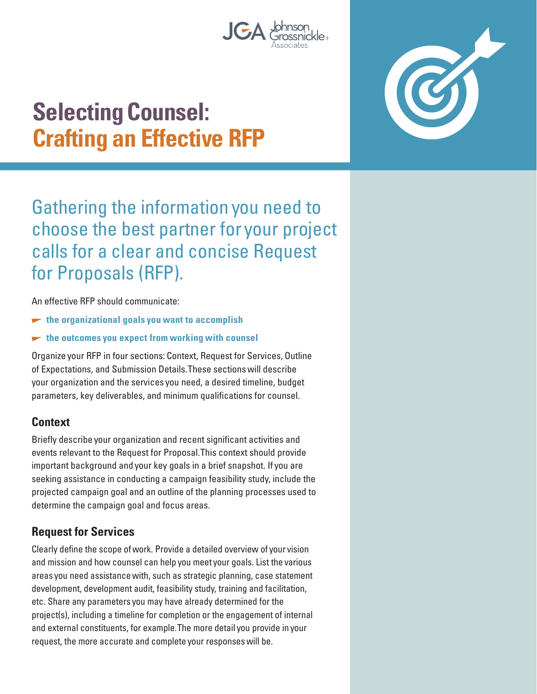

# **Selecting Counsel: Crafting an Effective RFP**

Gathering the information you need to choose the best partner for your project calls for a clear and concise Request for Proposals (RFP).

An effective RFP should communicate:

- $\blacktriangleright$  the organizational goals you want to accomplish
- **the outcomes you expect from working with counsel**

Organize your RFP in four sections: Context, Request for Services, Outline of Expectations, and Submission Details. These sections will describe your organization and the services you need, a desired timeline, budget parameters, key deliverables, and minimum qualifications for counsel.

#### **Context**

Briefly describe your organization and recent significant activities and events relevant to the Request for Proposal. This context should provide important background and your key goals in a brief snapshot. If you are seeking assistance in conducting a campaign feasibility study, include the projected campaign goal and an outline of the planning processes used to determine the campaign goal and focus areas.

#### **Request for Services**

Clearly define the scope of work. Provide a detailed overview of your vision and mission and how counsel can help you meet your goals. List the various areas you need assistance with, such as strategic planning, case statement development, development audit, feasibility study, training and facilitation, etc. Share any parameters you may have already determined for the project(s), including a timeline for completion or the engagement of internal and external constituents, for example. The more detail you provide in your request, the more accurate and complete your responses will be.